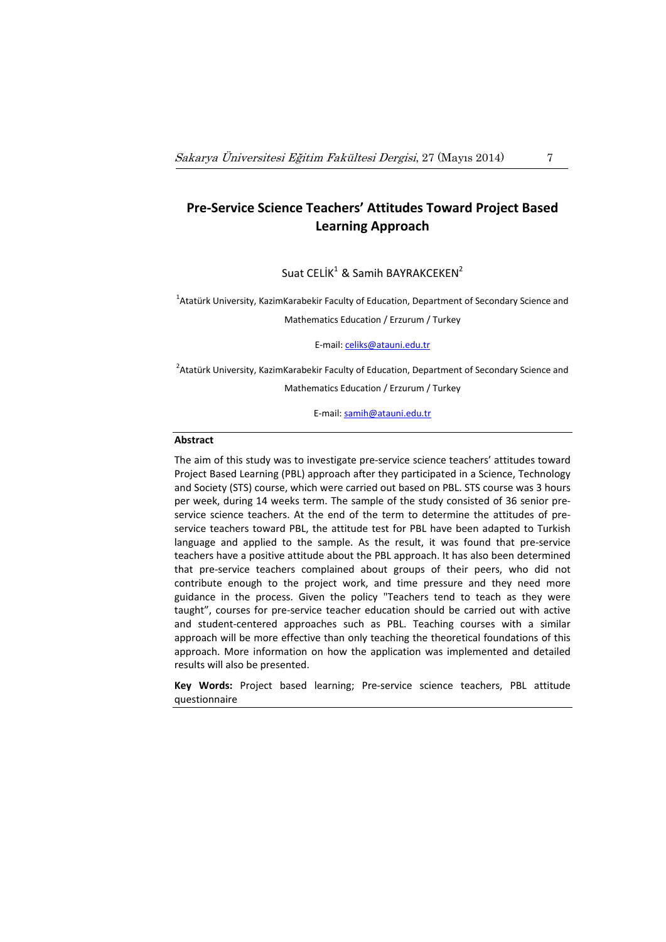# **Pre‐Service Science Teachers' Attitudes Toward Project Based Learning Approach**

Suat CELİK<sup>1</sup> & Samih BAYRAKCEKEN<sup>2</sup>

<sup>1</sup>Atatürk University, KazimKarabekir Faculty of Education, Department of Secondary Science and Mathematics Education / Erzurum / Turkey

E‐mail: celiks@atauni.edu.tr

<sup>2</sup>Atatürk University, KazimKarabekir Faculty of Education, Department of Secondary Science and Mathematics Education / Erzurum / Turkey

E‐mail: samih@atauni.edu.tr

### **Abstract**

The aim of this study was to investigate pre‐service science teachers' attitudes toward Project Based Learning (PBL) approach after they participated in a Science, Technology and Society (STS) course, which were carried out based on PBL. STS course was 3 hours per week, during 14 weeks term. The sample of the study consisted of 36 senior pre‐ service science teachers. At the end of the term to determine the attitudes of preservice teachers toward PBL, the attitude test for PBL have been adapted to Turkish language and applied to the sample. As the result, it was found that pre‐service teachers have a positive attitude about the PBL approach. It has also been determined that pre‐service teachers complained about groups of their peers, who did not contribute enough to the project work, and time pressure and they need more guidance in the process. Given the policy "Teachers tend to teach as they were taught", courses for pre‐service teacher education should be carried out with active and student-centered approaches such as PBL. Teaching courses with a similar approach will be more effective than only teaching the theoretical foundations of this approach. More information on how the application was implemented and detailed results will also be presented.

**Key Words:** Project based learning; Pre‐service science teachers, PBL attitude questionnaire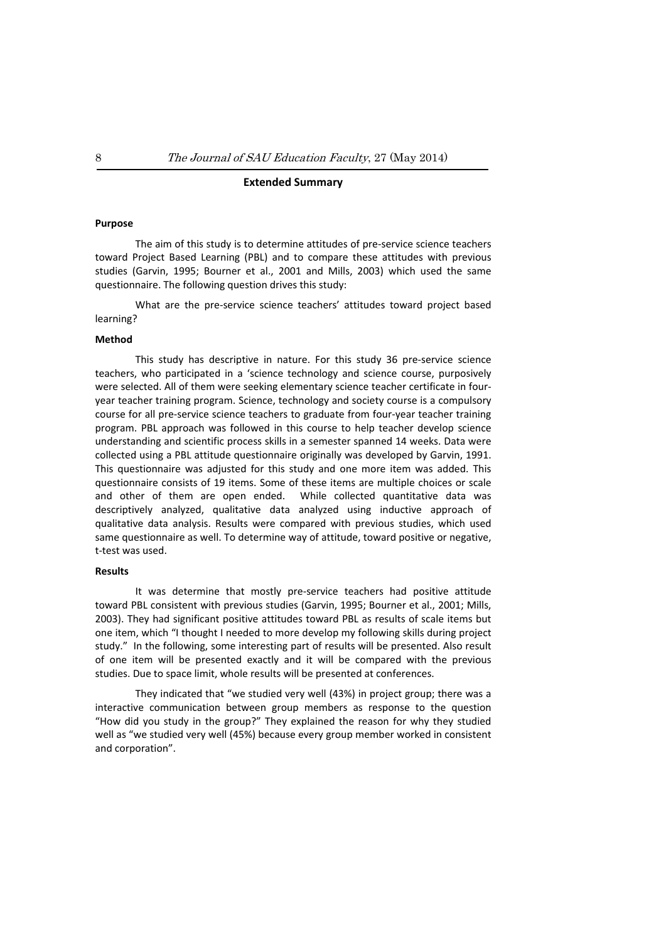#### **Extended Summary**

#### **Purpose**

The aim of this study is to determine attitudes of pre‐service science teachers toward Project Based Learning (PBL) and to compare these attitudes with previous studies (Garvin, 1995; Bourner et al., 2001 and Mills, 2003) which used the same questionnaire. The following question drives this study:

What are the pre-service science teachers' attitudes toward project based learning?

### **Method**

This study has descriptive in nature. For this study 36 pre‐service science teachers, who participated in a 'science technology and science course, purposively were selected. All of them were seeking elementary science teacher certificate in fouryear teacher training program. Science, technology and society course is a compulsory course for all pre‐service science teachers to graduate from four‐year teacher training program. PBL approach was followed in this course to help teacher develop science understanding and scientific process skills in a semester spanned 14 weeks. Data were collected using a PBL attitude questionnaire originally was developed by Garvin, 1991. This questionnaire was adjusted for this study and one more item was added. This questionnaire consists of 19 items. Some of these items are multiple choices or scale and other of them are open ended. While collected quantitative data was descriptively analyzed, qualitative data analyzed using inductive approach of qualitative data analysis. Results were compared with previous studies, which used same questionnaire as well. To determine way of attitude, toward positive or negative, t‐test was used.

#### **Results**

It was determine that mostly pre‐service teachers had positive attitude toward PBL consistent with previous studies (Garvin, 1995; Bourner et al., 2001; Mills, 2003). They had significant positive attitudes toward PBL as results of scale items but one item, which "I thought I needed to more develop my following skills during project study." In the following, some interesting part of results will be presented. Also result of one item will be presented exactly and it will be compared with the previous studies. Due to space limit, whole results will be presented at conferences.

They indicated that "we studied very well (43%) in project group; there was a interactive communication between group members as response to the question "How did you study in the group?" They explained the reason for why they studied well as "we studied very well (45%) because every group member worked in consistent and corporation".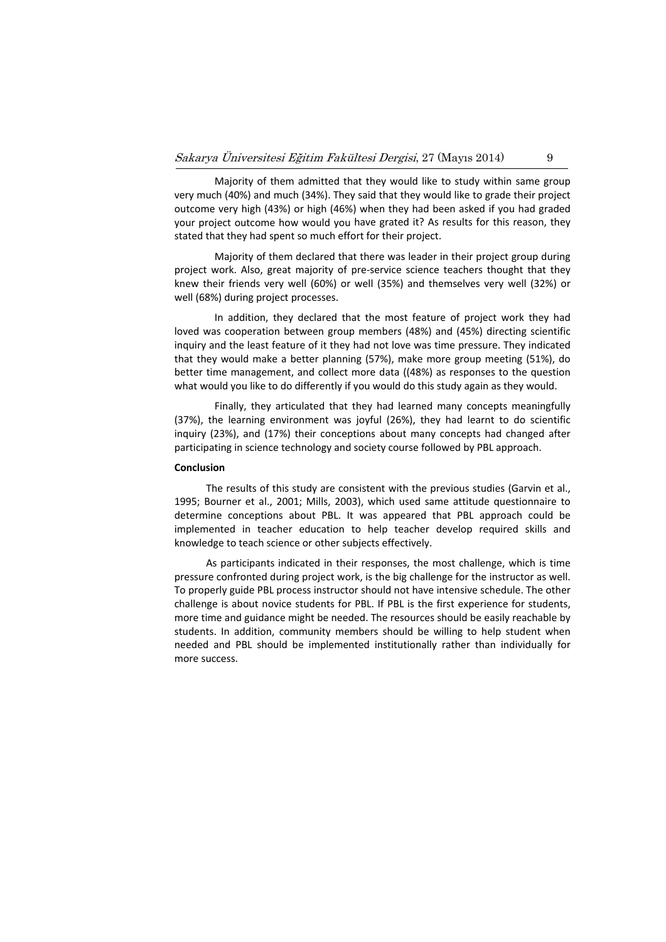Majority of them admitted that they would like to study within same group very much (40%) and much (34%). They said that they would like to grade their project outcome very high (43%) or high (46%) when they had been asked if you had graded your project outcome how would you have grated it? As results for this reason, they stated that they had spent so much effort for their project.

Majority of them declared that there was leader in their project group during project work. Also, great majority of pre‐service science teachers thought that they knew their friends very well (60%) or well (35%) and themselves very well (32%) or well (68%) during project processes.

In addition, they declared that the most feature of project work they had loved was cooperation between group members (48%) and (45%) directing scientific inquiry and the least feature of it they had not love was time pressure. They indicated that they would make a better planning (57%), make more group meeting (51%), do better time management, and collect more data ((48%) as responses to the question what would you like to do differently if you would do this study again as they would.

Finally, they articulated that they had learned many concepts meaningfully (37%), the learning environment was joyful (26%), they had learnt to do scientific inquiry (23%), and (17%) their conceptions about many concepts had changed after participating in science technology and society course followed by PBL approach.

#### **Conclusion**

The results of this study are consistent with the previous studies (Garvin et al., 1995; Bourner et al., 2001; Mills, 2003), which used same attitude questionnaire to determine conceptions about PBL. It was appeared that PBL approach could be implemented in teacher education to help teacher develop required skills and knowledge to teach science or other subjects effectively.

As participants indicated in their responses, the most challenge, which is time pressure confronted during project work, is the big challenge for the instructor as well. To properly guide PBL process instructor should not have intensive schedule. The other challenge is about novice students for PBL. If PBL is the first experience for students, more time and guidance might be needed. The resources should be easily reachable by students. In addition, community members should be willing to help student when needed and PBL should be implemented institutionally rather than individually for more success.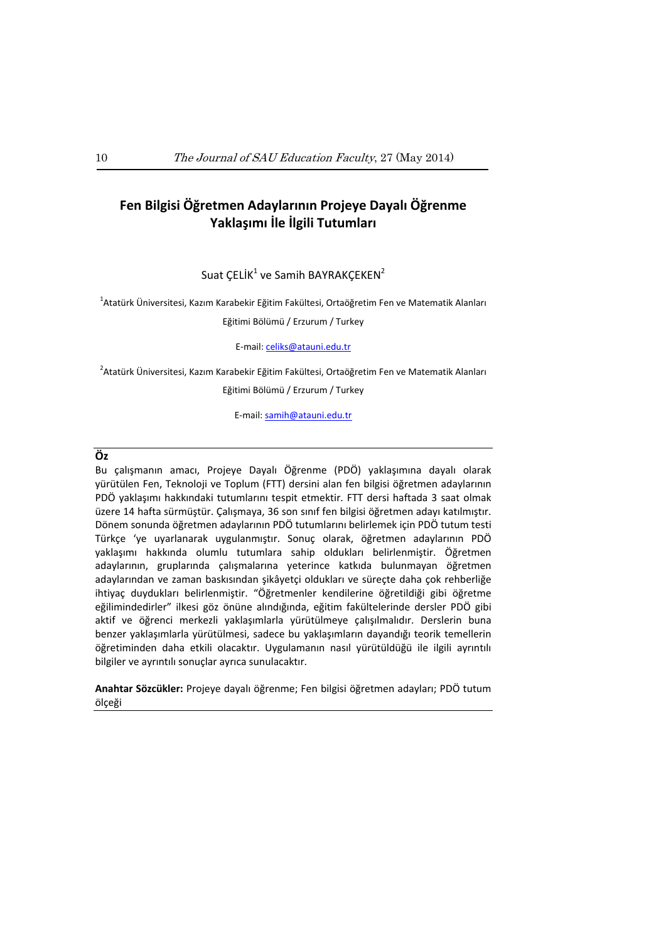# **Fen Bilgisi Öğretmen Adaylarının Projeye Dayalı Öğrenme Yaklaşımı İle İlgili Tutumları**

# Suat ÇELİK $1$  ve Samih BAYRAKÇEKEN $2$

 $^{\text{1}}$ Atatürk Üniversitesi, Kazım Karabekir Eğitim Fakültesi, Ortaöğretim Fen ve Matematik Alanları Eğitimi Bölümü / Erzurum / Turkey

#### E‐mail: celiks@atauni.edu.tr

 $^{2}$ Atatürk Üniversitesi, Kazım Karabekir Eğitim Fakültesi, Ortaöğretim Fen ve Matematik Alanları Eğitimi Bölümü / Erzurum / Turkey

E‐mail: samih@atauni.edu.tr

### **Öz**

Bu çalışmanın amacı, Projeye Dayalı Öğrenme (PDÖ) yaklaşımına dayalı olarak yürütülen Fen, Teknoloji ve Toplum (FTT) dersini alan fen bilgisi öğretmen adaylarının PDÖ yaklaşımı hakkındaki tutumlarını tespit etmektir. FTT dersi haftada 3 saat olmak üzere 14 hafta sürmüştür. Çalışmaya, 36 son sınıf fen bilgisi öğretmen adayı katılmıştır. Dönem sonunda öğretmen adaylarının PDÖ tutumlarını belirlemek için PDÖ tutum testi Türkçe 'ye uyarlanarak uygulanmıştır. Sonuç olarak, öğretmen adaylarının PDÖ yaklaşımı hakkında olumlu tutumlara sahip oldukları belirlenmiştir. Öğretmen adaylarının, gruplarında çalışmalarına yeterince katkıda bulunmayan öğretmen adaylarından ve zaman baskısından şikâyetçi oldukları ve süreçte daha çok rehberliğe ihtiyaç duydukları belirlenmiştir. "Öğretmenler kendilerine öğretildiği gibi öğretme eğilimindedirler" ilkesi göz önüne alındığında, eğitim fakültelerinde dersler PDÖ gibi aktif ve öğrenci merkezli yaklaşımlarla yürütülmeye çalışılmalıdır. Derslerin buna benzer yaklaşımlarla yürütülmesi, sadece bu yaklaşımların dayandığı teorik temellerin öğretiminden daha etkili olacaktır. Uygulamanın nasıl yürütüldüğü ile ilgili ayrıntılı bilgiler ve ayrıntılı sonuçlar ayrıca sunulacaktır.

**Anahtar Sözcükler:** Projeye dayalı öğrenme; Fen bilgisi öğretmen adayları; PDÖ tutum ölçeği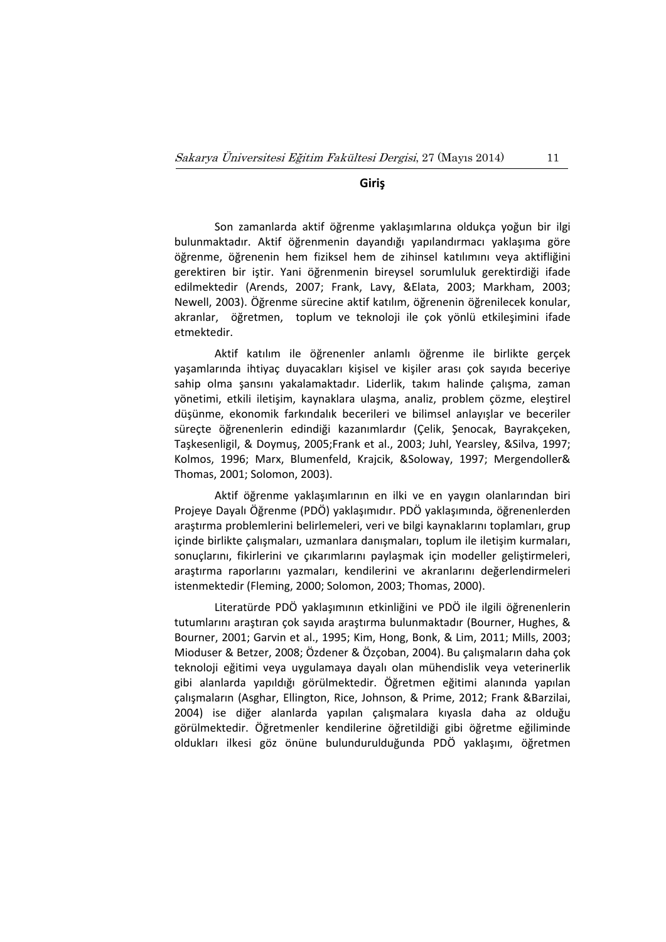# **Giriş**

Son zamanlarda aktif öğrenme yaklaşımlarına oldukça yoğun bir ilgi bulunmaktadır. Aktif öğrenmenin dayandığı yapılandırmacı yaklaşıma göre öğrenme, öğrenenin hem fiziksel hem de zihinsel katılımını veya aktifliğini gerektiren bir iştir. Yani öğrenmenin bireysel sorumluluk gerektirdiği ifade edilmektedir (Arends, 2007; Frank, Lavy, &Elata, 2003; Markham, 2003; Newell, 2003). Öğrenme sürecine aktif katılım, öğrenenin öğrenilecek konular, akranlar, öğretmen, toplum ve teknoloji ile çok yönlü etkileşimini ifade etmektedir.

Aktif katılım ile öğrenenler anlamlı öğrenme ile birlikte gerçek yaşamlarında ihtiyaç duyacakları kişisel ve kişiler arası çok sayıda beceriye sahip olma şansını yakalamaktadır. Liderlik, takım halinde çalışma, zaman yönetimi, etkili iletişim, kaynaklara ulaşma, analiz, problem çözme, eleştirel düşünme, ekonomik farkındalık becerileri ve bilimsel anlayışlar ve beceriler süreçte öğrenenlerin edindiği kazanımlardır (Çelik, Şenocak, Bayrakçeken, Taşkesenligil, & Doymuş, 2005;Frank et al., 2003; Juhl, Yearsley, &Silva, 1997; Kolmos, 1996; Marx, Blumenfeld, Krajcik, &Soloway, 1997; Mergendoller& Thomas, 2001; Solomon, 2003).

Aktif öğrenme yaklaşımlarının en ilki ve en yaygın olanlarından biri Projeye Dayalı Öğrenme (PDÖ) yaklaşımıdır. PDÖ yaklaşımında, öğrenenlerden araştırma problemlerini belirlemeleri, veri ve bilgi kaynaklarını toplamları, grup içinde birlikte çalışmaları, uzmanlara danışmaları, toplum ile iletişim kurmaları, sonuçlarını, fikirlerini ve çıkarımlarını paylaşmak için modeller geliştirmeleri, araştırma raporlarını yazmaları, kendilerini ve akranlarını değerlendirmeleri istenmektedir (Fleming, 2000; Solomon, 2003; Thomas, 2000).

Literatürde PDÖ yaklaşımının etkinliğini ve PDÖ ile ilgili öğrenenlerin tutumlarını araştıran çok sayıda araştırma bulunmaktadır (Bourner, Hughes, & Bourner, 2001; Garvin et al., 1995; Kim, Hong, Bonk, & Lim, 2011; Mills, 2003; Mioduser & Betzer, 2008; Özdener & Özçoban, 2004). Bu çalışmaların daha çok teknoloji eğitimi veya uygulamaya dayalı olan mühendislik veya veterinerlik gibi alanlarda yapıldığı görülmektedir. Öğretmen eğitimi alanında yapılan çalışmaların (Asghar, Ellington, Rice, Johnson, & Prime, 2012; Frank &Barzilai, 2004) ise diğer alanlarda yapılan çalışmalara kıyasla daha az olduğu görülmektedir. Öğretmenler kendilerine öğretildiği gibi öğretme eğiliminde oldukları ilkesi göz önüne bulundurulduğunda PDÖ yaklaşımı, öğretmen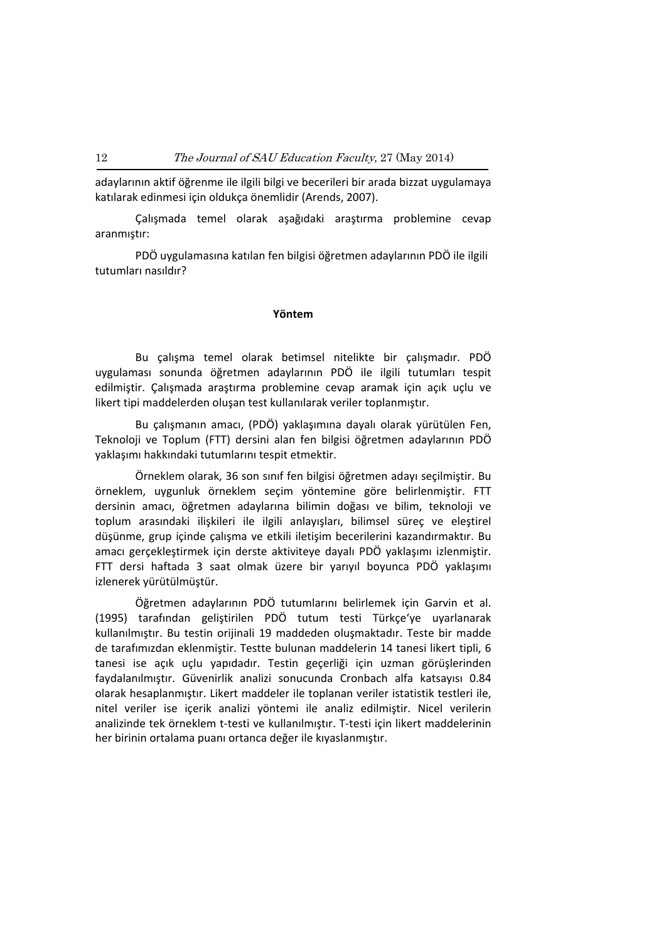adaylarının aktif öğrenme ile ilgili bilgi ve becerileri bir arada bizzat uygulamaya katılarak edinmesi için oldukça önemlidir (Arends, 2007).

Çalışmada temel olarak aşağıdaki araştırma problemine cevap aranmıştır:

PDÖ uygulamasına katılan fen bilgisi öğretmen adaylarının PDÖ ile ilgili tutumları nasıldır?

### **Yöntem**

Bu çalışma temel olarak betimsel nitelikte bir çalışmadır. PDÖ uygulaması sonunda öğretmen adaylarının PDÖ ile ilgili tutumları tespit edilmiştir. Çalışmada araştırma problemine cevap aramak için açık uçlu ve likert tipi maddelerden oluşan test kullanılarak veriler toplanmıştır.

Bu çalışmanın amacı, (PDÖ) yaklaşımına dayalı olarak yürütülen Fen, Teknoloji ve Toplum (FTT) dersini alan fen bilgisi öğretmen adaylarının PDÖ yaklaşımı hakkındaki tutumlarını tespit etmektir.

Örneklem olarak, 36 son sınıf fen bilgisi öğretmen adayı seçilmiştir. Bu örneklem, uygunluk örneklem seçim yöntemine göre belirlenmiştir. FTT dersinin amacı, öğretmen adaylarına bilimin doğası ve bilim, teknoloji ve toplum arasındaki ilişkileri ile ilgili anlayışları, bilimsel süreç ve eleştirel düşünme, grup içinde çalışma ve etkili iletişim becerilerini kazandırmaktır. Bu amacı gerçekleştirmek için derste aktiviteye dayalı PDÖ yaklaşımı izlenmiştir. FTT dersi haftada 3 saat olmak üzere bir yarıyıl boyunca PDÖ yaklaşımı izlenerek yürütülmüştür.

Öğretmen adaylarının PDÖ tutumlarını belirlemek için Garvin et al. (1995) tarafından geliştirilen PDÖ tutum testi Türkçe'ye uyarlanarak kullanılmıştır. Bu testin orijinali 19 maddeden oluşmaktadır. Teste bir madde de tarafımızdan eklenmiştir. Testte bulunan maddelerin 14 tanesi likert tipli, 6 tanesi ise açık uçlu yapıdadır. Testin geçerliği için uzman görüşlerinden faydalanılmıştır. Güvenirlik analizi sonucunda Cronbach alfa katsayısı 0.84 olarak hesaplanmıştır. Likert maddeler ile toplanan veriler istatistik testleri ile, nitel veriler ise içerik analizi yöntemi ile analiz edilmiştir. Nicel verilerin analizinde tek örneklem t‐testi ve kullanılmıştır. T‐testi için likert maddelerinin her birinin ortalama puanı ortanca değer ile kıyaslanmıştır.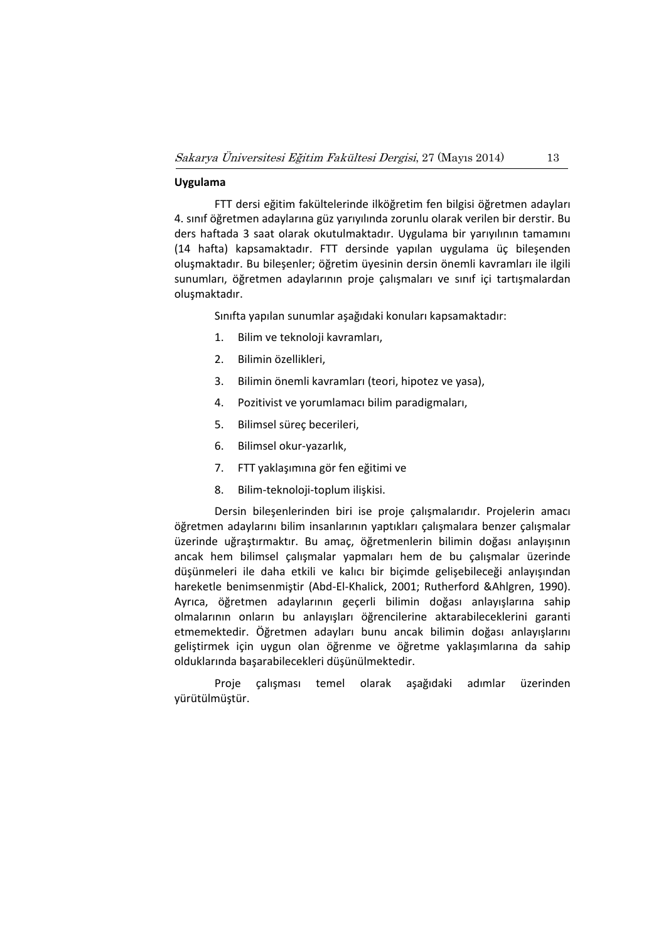# **Uygulama**

FTT dersi eğitim fakültelerinde ilköğretim fen bilgisi öğretmen adayları 4. sınıf öğretmen adaylarına güz yarıyılında zorunlu olarak verilen bir derstir. Bu ders haftada 3 saat olarak okutulmaktadır. Uygulama bir yarıyılının tamamını (14 hafta) kapsamaktadır. FTT dersinde yapılan uygulama üç bileşenden oluşmaktadır. Bu bileşenler; öğretim üyesinin dersin önemli kavramları ile ilgili sunumları, öğretmen adaylarının proje çalışmaları ve sınıf içi tartışmalardan oluşmaktadır.

Sınıfta yapılan sunumlar aşağıdaki konuları kapsamaktadır:

- 1. Bilim ve teknoloji kavramları,
- 2. Bilimin özellikleri,
- 3. Bilimin önemli kavramları (teori, hipotez ve yasa),
- 4. Pozitivist ve yorumlamacı bilim paradigmaları,
- 5. Bilimsel süreç becerileri,
- 6. Bilimsel okur‐yazarlık,
- 7. FTT yaklaşımına gör fen eğitimi ve
- 8. Bilim‐teknoloji‐toplum ilişkisi.

Dersin bileşenlerinden biri ise proje çalışmalarıdır. Projelerin amacı öğretmen adaylarını bilim insanlarının yaptıkları çalışmalara benzer çalışmalar üzerinde uğraştırmaktır. Bu amaç, öğretmenlerin bilimin doğası anlayışının ancak hem bilimsel çalışmalar yapmaları hem de bu çalışmalar üzerinde düşünmeleri ile daha etkili ve kalıcı bir biçimde gelişebileceği anlayışından hareketle benimsenmiştir (Abd‐El‐Khalick, 2001; Rutherford &Ahlgren, 1990). Ayrıca, öğretmen adaylarının geçerli bilimin doğası anlayışlarına sahip olmalarının onların bu anlayışları öğrencilerine aktarabileceklerini garanti etmemektedir. Öğretmen adayları bunu ancak bilimin doğası anlayışlarını geliştirmek için uygun olan öğrenme ve öğretme yaklaşımlarına da sahip olduklarında başarabilecekleri düşünülmektedir.

Proje çalışması temel olarak aşağıdaki adımlar üzerinden yürütülmüştür.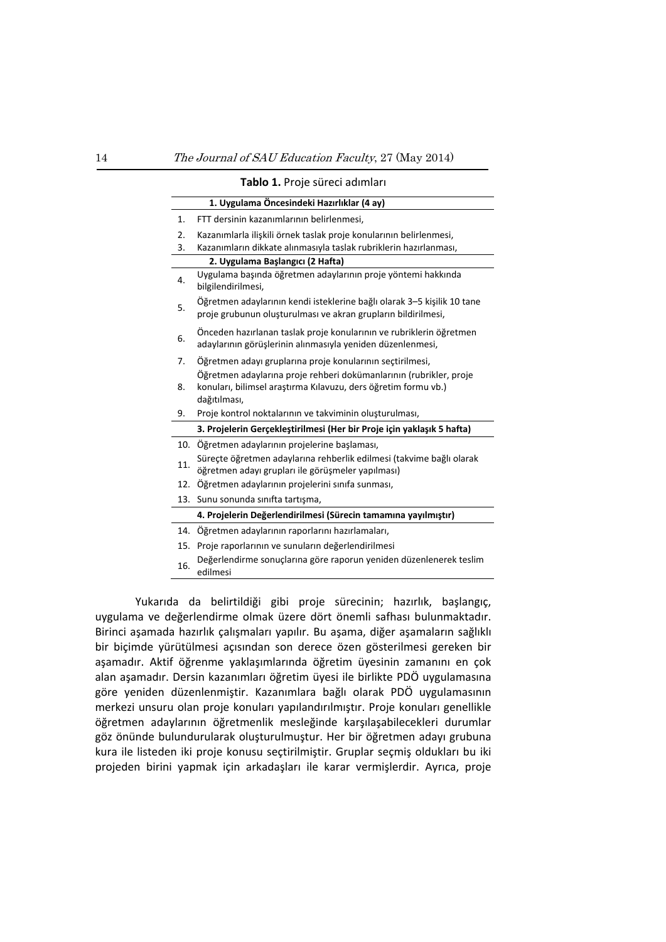|     | Tablo 1. Proje süreci adımları                                                                                                           |
|-----|------------------------------------------------------------------------------------------------------------------------------------------|
|     | 1. Uygulama Öncesindeki Hazırlıklar (4 ay)                                                                                               |
| 1.  | FTT dersinin kazanımlarının belirlenmesi,                                                                                                |
| 2.  | Kazanımlarla ilişkili örnek taslak proje konularının belirlenmesi,                                                                       |
| 3.  | Kazanımların dikkate alınmasıyla taslak rubriklerin hazırlanması,                                                                        |
|     | 2. Uygulama Başlangıcı (2 Hafta)                                                                                                         |
| 4.  | Uygulama başında öğretmen adaylarının proje yöntemi hakkında<br>bilgilendirilmesi,                                                       |
| 5.  | Öğretmen adaylarının kendi isteklerine bağlı olarak 3–5 kişilik 10 tane<br>proje grubunun oluşturulması ve akran grupların bildirilmesi, |
| 6.  | Önceden hazırlanan taslak proje konularının ve rubriklerin öğretmen<br>adaylarının görüşlerinin alınmasıyla yeniden düzenlenmesi,        |
| 7.  | Öğretmen adayı gruplarına proje konularının seçtirilmesi,                                                                                |
|     | Öğretmen adaylarına proje rehberi dokümanlarının (rubrikler, proje                                                                       |
| 8.  | konuları, bilimsel araştırma Kılavuzu, ders öğretim formu vb.)<br>dağıtılması,                                                           |
| 9.  | Proje kontrol noktalarının ve takviminin oluşturulması,                                                                                  |
|     | 3. Projelerin Gerçekleştirilmesi (Her bir Proje için yaklaşık 5 hafta)                                                                   |
|     | 10. Öğretmen adaylarının projelerine başlaması,                                                                                          |
| 11. | Süreçte öğretmen adaylarına rehberlik edilmesi (takvime bağlı olarak<br>öğretmen adayı grupları ile görüşmeler yapılması)                |
| 12. | Öğretmen adaylarının projelerini sınıfa sunması,                                                                                         |
| 13. | Sunu sonunda sinifta tartişma,                                                                                                           |
|     | 4. Projelerin Değerlendirilmesi (Sürecin tamamına yayılmıştır)                                                                           |
| 14. | Öğretmen adaylarının raporlarını hazırlamaları,                                                                                          |
| 15. | Proje raporlarının ve sunuların değerlendirilmesi                                                                                        |
| 16. | Değerlendirme sonuçlarına göre raporun yeniden düzenlenerek teslim<br>edilmesi                                                           |

Yukarıda da belirtildiği gibi proje sürecinin; hazırlık, başlangıç, uygulama ve değerlendirme olmak üzere dört önemli safhası bulunmaktadır. Birinci aşamada hazırlık çalışmaları yapılır. Bu aşama, diğer aşamaların sağlıklı bir biçimde yürütülmesi açısından son derece özen gösterilmesi gereken bir aşamadır. Aktif öğrenme yaklaşımlarında öğretim üyesinin zamanını en çok alan aşamadır. Dersin kazanımları öğretim üyesi ile birlikte PDÖ uygulamasına göre yeniden düzenlenmiştir. Kazanımlara bağlı olarak PDÖ uygulamasının merkezi unsuru olan proje konuları yapılandırılmıştır. Proje konuları genellikle öğretmen adaylarının öğretmenlik mesleğinde karşılaşabilecekleri durumlar göz önünde bulundurularak oluşturulmuştur. Her bir öğretmen adayı grubuna kura ile listeden iki proje konusu seçtirilmiştir. Gruplar seçmiş oldukları bu iki projeden birini yapmak için arkadaşları ile karar vermişlerdir. Ayrıca, proje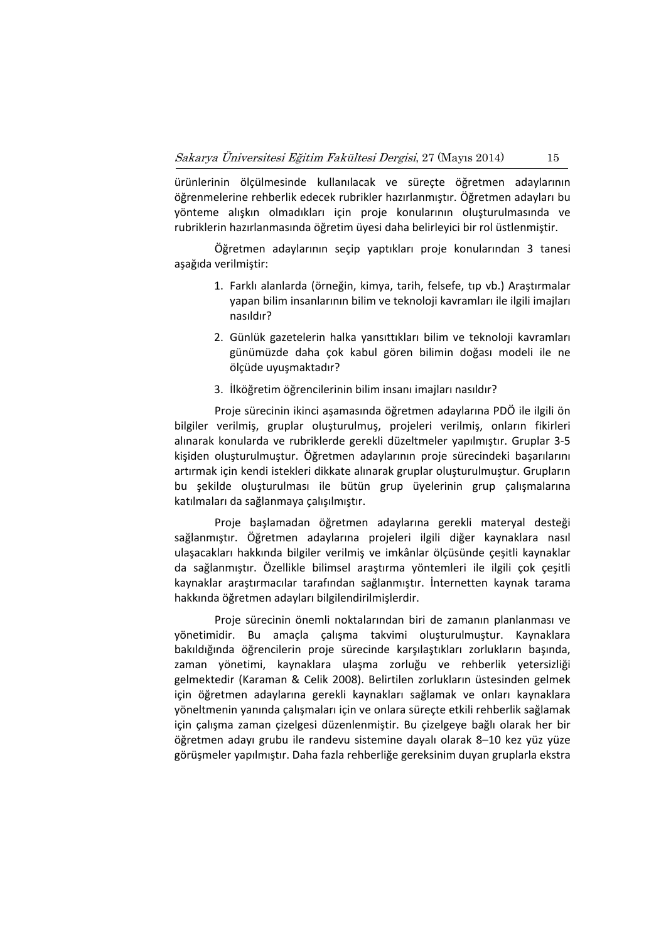ürünlerinin ölçülmesinde kullanılacak ve süreçte öğretmen adaylarının öğrenmelerine rehberlik edecek rubrikler hazırlanmıştır. Öğretmen adayları bu yönteme alışkın olmadıkları için proje konularının oluşturulmasında ve rubriklerin hazırlanmasında öğretim üyesi daha belirleyici bir rol üstlenmiştir.

Öğretmen adaylarının seçip yaptıkları proje konularından 3 tanesi aşağıda verilmiştir:

- 1. Farklı alanlarda (örneğin, kimya, tarih, felsefe, tıp vb.) Araştırmalar yapan bilim insanlarının bilim ve teknoloji kavramları ile ilgili imajları nasıldır?
- 2. Günlük gazetelerin halka yansıttıkları bilim ve teknoloji kavramları günümüzde daha çok kabul gören bilimin doğası modeli ile ne ölçüde uyuşmaktadır?
- 3. İlköğretim öğrencilerinin bilim insanı imajları nasıldır?

Proje sürecinin ikinci aşamasında öğretmen adaylarına PDÖ ile ilgili ön bilgiler verilmiş, gruplar oluşturulmuş, projeleri verilmiş, onların fikirleri alınarak konularda ve rubriklerde gerekli düzeltmeler yapılmıştır. Gruplar 3‐5 kişiden oluşturulmuştur. Öğretmen adaylarının proje sürecindeki başarılarını artırmak için kendi istekleri dikkate alınarak gruplar oluşturulmuştur. Grupların bu şekilde oluşturulması ile bütün grup üyelerinin grup çalışmalarına katılmaları da sağlanmaya çalışılmıştır.

Proje başlamadan öğretmen adaylarına gerekli materyal desteği sağlanmıştır. Öğretmen adaylarına projeleri ilgili diğer kaynaklara nasıl ulaşacakları hakkında bilgiler verilmiş ve imkânlar ölçüsünde çeşitli kaynaklar da sağlanmıştır. Özellikle bilimsel araştırma yöntemleri ile ilgili çok çeşitli kaynaklar araştırmacılar tarafından sağlanmıştır. İnternetten kaynak tarama hakkında öğretmen adayları bilgilendirilmişlerdir.

Proje sürecinin önemli noktalarından biri de zamanın planlanması ve yönetimidir. Bu amaçla çalışma takvimi oluşturulmuştur. Kaynaklara bakıldığında öğrencilerin proje sürecinde karşılaştıkları zorlukların başında, zaman yönetimi, kaynaklara ulaşma zorluğu ve rehberlik yetersizliği gelmektedir (Karaman & Celik 2008). Belirtilen zorlukların üstesinden gelmek için öğretmen adaylarına gerekli kaynakları sağlamak ve onları kaynaklara yöneltmenin yanında çalışmaları için ve onlara süreçte etkili rehberlik sağlamak için çalışma zaman çizelgesi düzenlenmiştir. Bu çizelgeye bağlı olarak her bir öğretmen adayı grubu ile randevu sistemine dayalı olarak 8–10 kez yüz yüze görüşmeler yapılmıştır. Daha fazla rehberliğe gereksinim duyan gruplarla ekstra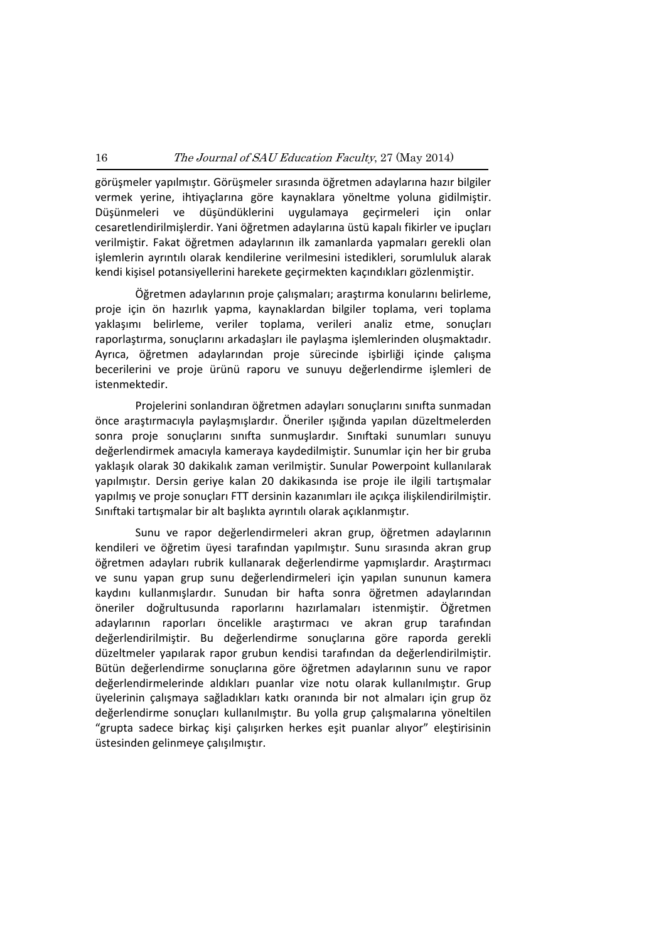görüşmeler yapılmıştır. Görüşmeler sırasında öğretmen adaylarına hazır bilgiler vermek yerine, ihtiyaçlarına göre kaynaklara yöneltme yoluna gidilmiştir. Düşünmeleri ve düşündüklerini uygulamaya geçirmeleri için onlar cesaretlendirilmişlerdir. Yani öğretmen adaylarına üstü kapalı fikirler ve ipuçları verilmiştir. Fakat öğretmen adaylarının ilk zamanlarda yapmaları gerekli olan işlemlerin ayrıntılı olarak kendilerine verilmesini istedikleri, sorumluluk alarak kendi kişisel potansiyellerini harekete geçirmekten kaçındıkları gözlenmiştir.

Öğretmen adaylarının proje çalışmaları; araştırma konularını belirleme, proje için ön hazırlık yapma, kaynaklardan bilgiler toplama, veri toplama yaklaşımı belirleme, veriler toplama, verileri analiz etme, sonuçları raporlaştırma, sonuçlarını arkadaşları ile paylaşma işlemlerinden oluşmaktadır. Ayrıca, öğretmen adaylarından proje sürecinde işbirliği içinde çalışma becerilerini ve proje ürünü raporu ve sunuyu değerlendirme işlemleri de istenmektedir.

Projelerini sonlandıran öğretmen adayları sonuçlarını sınıfta sunmadan önce araştırmacıyla paylaşmışlardır. Öneriler ışığında yapılan düzeltmelerden sonra proje sonuçlarını sınıfta sunmuşlardır. Sınıftaki sunumları sunuyu değerlendirmek amacıyla kameraya kaydedilmiştir. Sunumlar için her bir gruba yaklaşık olarak 30 dakikalık zaman verilmiştir. Sunular Powerpoint kullanılarak yapılmıştır. Dersin geriye kalan 20 dakikasında ise proje ile ilgili tartışmalar yapılmış ve proje sonuçları FTT dersinin kazanımları ile açıkça ilişkilendirilmiştir. Sınıftaki tartışmalar bir alt başlıkta ayrıntılı olarak açıklanmıştır.

Sunu ve rapor değerlendirmeleri akran grup, öğretmen adaylarının kendileri ve öğretim üyesi tarafından yapılmıştır. Sunu sırasında akran grup öğretmen adayları rubrik kullanarak değerlendirme yapmışlardır. Araştırmacı ve sunu yapan grup sunu değerlendirmeleri için yapılan sununun kamera kaydını kullanmışlardır. Sunudan bir hafta sonra öğretmen adaylarından öneriler doğrultusunda raporlarını hazırlamaları istenmiştir. Öğretmen adaylarının raporları öncelikle araştırmacı ve akran grup tarafından değerlendirilmiştir. Bu değerlendirme sonuçlarına göre raporda gerekli düzeltmeler yapılarak rapor grubun kendisi tarafından da değerlendirilmiştir. Bütün değerlendirme sonuçlarına göre öğretmen adaylarının sunu ve rapor değerlendirmelerinde aldıkları puanlar vize notu olarak kullanılmıştır. Grup üyelerinin çalışmaya sağladıkları katkı oranında bir not almaları için grup öz değerlendirme sonuçları kullanılmıştır. Bu yolla grup çalışmalarına yöneltilen "grupta sadece birkaç kişi çalışırken herkes eşit puanlar alıyor" eleştirisinin üstesinden gelinmeye çalışılmıştır.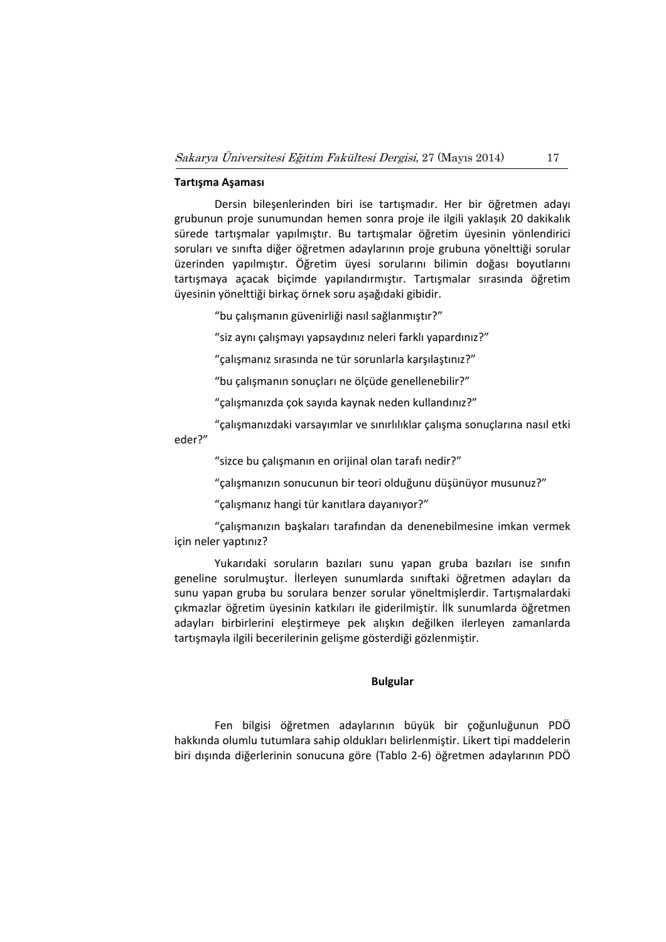# **Tartışma Aşaması**

Dersin bileşenlerinden biri ise tartışmadır. Her bir öğretmen adayı grubunun proje sunumundan hemen sonra proje ile ilgili yaklaşık 20 dakikalık sürede tartışmalar yapılmıştır. Bu tartışmalar öğretim üyesinin yönlendirici soruları ve sınıfta diğer öğretmen adaylarının proje grubuna yönelttiği sorular üzerinden yapılmıştır. Öğretim üyesi sorularını bilimin doğası boyutlarını tartışmaya açacak biçimde yapılandırmıştır. Tartışmalar sırasında öğretim üyesinin yönelttiği birkaç örnek soru aşağıdaki gibidir.

"bu çalışmanın güvenirliği nasıl sağlanmıştır?"

"siz aynı çalışmayı yapsaydınız neleri farklı yapardınız?"

"çalışmanız sırasında ne tür sorunlarla karşılaştınız?"

"bu çalışmanın sonuçları ne ölçüde genellenebilir?"

"çalışmanızda çok sayıda kaynak neden kullandınız?"

"çalışmanızdaki varsayımlar ve sınırlılıklar çalışma sonuçlarına nasıl etki eder?"

"sizce bu çalışmanın en orijinal olan tarafı nedir?"

"çalışmanızın sonucunun bir teori olduğunu düşünüyor musunuz?"

"çalışmanız hangi tür kanıtlara dayanıyor?"

"çalışmanızın başkaları tarafından da denenebilmesine imkan vermek için neler yaptınız?

Yukarıdaki soruların bazıları sunu yapan gruba bazıları ise sınıfın geneline sorulmuştur. İlerleyen sunumlarda sınıftaki öğretmen adayları da sunu yapan gruba bu sorulara benzer sorular yöneltmişlerdir. Tartışmalardaki çıkmazlar öğretim üyesinin katkıları ile giderilmiştir. İlk sunumlarda öğretmen adayları birbirlerini eleştirmeye pek alışkın değilken ilerleyen zamanlarda tartışmayla ilgili becerilerinin gelişme gösterdiği gözlenmiştir.

### **Bulgular**

Fen bilgisi öğretmen adaylarının büyük bir çoğunluğunun PDÖ hakkında olumlu tutumlara sahip oldukları belirlenmiştir. Likert tipi maddelerin biri dışında diğerlerinin sonucuna göre (Tablo 2‐6) öğretmen adaylarının PDÖ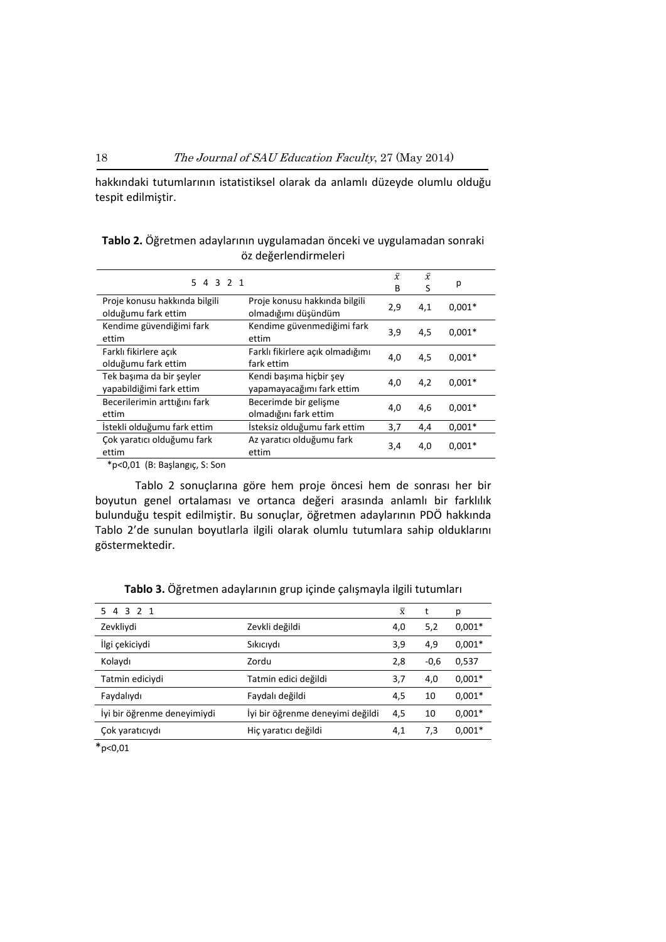hakkındaki tutumlarının istatistiksel olarak da anlamlı düzeyde olumlu olduğu tespit edilmiştir.

| 5 4 3 2 1                                            |                                                      | $\bar{x}$<br>B | $\bar{x}$<br>S | р        |
|------------------------------------------------------|------------------------------------------------------|----------------|----------------|----------|
| Proje konusu hakkında bilgili<br>olduğumu fark ettim | Proje konusu hakkında bilgili<br>olmadığımı düşündüm | 2,9            | 4,1            | $0.001*$ |
| Kendime güvendiğimi fark<br>ettim                    | Kendime güvenmediğimi fark<br>ettim                  | 3,9            | 4,5            | $0.001*$ |
| Farklı fikirlere açık<br>olduğumu fark ettim         | Farklı fikirlere açık olmadığımı<br>fark ettim       | 4,0            | 4,5            | $0.001*$ |
| Tek basıma da bir seyler<br>yapabildiğimi fark ettim | Kendi başıma hiçbir şey<br>yapamayacağımı fark ettim | 4,0            | 4,2            | $0.001*$ |
| Becerilerimin arttığını fark<br>ettim                | Becerimde bir gelişme<br>olmadığını fark ettim       | 4,0            | 4,6            | $0.001*$ |
| İstekli olduğumu fark ettim                          | İsteksiz olduğumu fark ettim                         | 3,7            | 4,4            | $0.001*$ |
| Çok yaratıcı olduğumu fark<br>ettim                  | Az yaratıcı olduğumu fark<br>ettim                   | 3,4            | 4,0            | $0.001*$ |
| $*$ $\sim$ 0.04 $\sqrt{D}$ . Designate C.C.a.        |                                                      |                |                |          |

|  | Tablo 2. Öğretmen adaylarının uygulamadan önceki ve uygulamadan sonraki |                      |  |  |
|--|-------------------------------------------------------------------------|----------------------|--|--|
|  |                                                                         | öz değerlendirmeleri |  |  |

\*p<0,01 (B: Başlangıç, S: Son

Tablo 2 sonuçlarına göre hem proje öncesi hem de sonrası her bir boyutun genel ortalaması ve ortanca değeri arasında anlamlı bir farklılık bulunduğu tespit edilmiştir. Bu sonuçlar, öğretmen adaylarının PDÖ hakkında Tablo 2'de sunulan boyutlarla ilgili olarak olumlu tutumlara sahip olduklarını göstermektedir.

| 5 4 3 2 1                   |                                  | $\bar{x}$ |        | р        |
|-----------------------------|----------------------------------|-----------|--------|----------|
| Zevkliydi                   | Zevkli değildi                   | 4,0       | 5,2    | $0.001*$ |
| İlgi çekiciydi              | Sikiciydi                        | 3,9       | 4,9    | $0,001*$ |
| Kolaydı                     | Zordu                            | 2,8       | $-0,6$ | 0,537    |
| Tatmin ediciydi             | Tatmin edici değildi             | 3,7       | 4,0    | $0.001*$ |
| Faydalıydı                  | Faydalı değildi                  | 4,5       | 10     | $0.001*$ |
| İyi bir öğrenme deneyimiydi | İyi bir öğrenme deneyimi değildi | 4,5       | 10     | $0.001*$ |
| Çok yaratıcıydı             | Hiç yaratıcı değildi             | 4,1       | 7,3    | $0.001*$ |

**Tablo 3.** Öğretmen adaylarının grup içinde çalışmayla ilgili tutumları

 $*_{p<0,01}$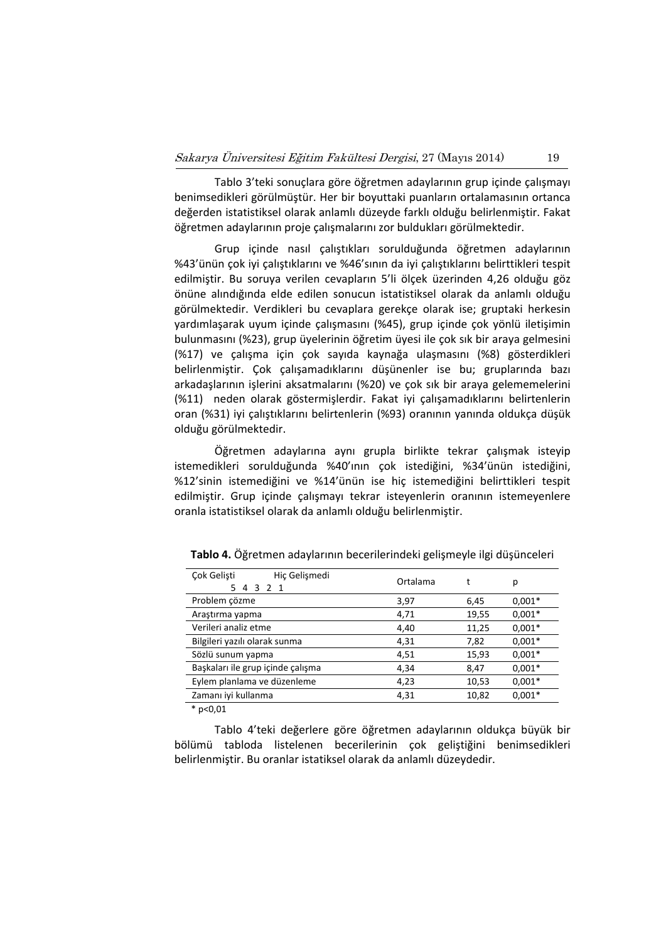Tablo 3'teki sonuçlara göre öğretmen adaylarının grup içinde çalışmayı benimsedikleri görülmüştür. Her bir boyuttaki puanların ortalamasının ortanca değerden istatistiksel olarak anlamlı düzeyde farklı olduğu belirlenmiştir. Fakat öğretmen adaylarının proje çalışmalarını zor buldukları görülmektedir.

Grup içinde nasıl çalıştıkları sorulduğunda öğretmen adaylarının %43'ünün çok iyi çalıştıklarını ve %46'sının da iyi çalıştıklarını belirttikleri tespit edilmiştir. Bu soruya verilen cevapların 5'li ölçek üzerinden 4,26 olduğu göz önüne alındığında elde edilen sonucun istatistiksel olarak da anlamlı olduğu görülmektedir. Verdikleri bu cevaplara gerekçe olarak ise; gruptaki herkesin yardımlaşarak uyum içinde çalışmasını (%45), grup içinde çok yönlü iletişimin bulunmasını (%23), grup üyelerinin öğretim üyesi ile çok sık bir araya gelmesini (%17) ve çalışma için çok sayıda kaynağa ulaşmasını (%8) gösterdikleri belirlenmiştir. Çok çalışamadıklarını düşünenler ise bu; gruplarında bazı arkadaşlarının işlerini aksatmalarını (%20) ve çok sık bir araya gelememelerini (%11) neden olarak göstermişlerdir. Fakat iyi çalışamadıklarını belirtenlerin oran (%31) iyi çalıştıklarını belirtenlerin (%93) oranının yanında oldukça düşük olduğu görülmektedir.

Öğretmen adaylarına aynı grupla birlikte tekrar çalışmak isteyip istemedikleri sorulduğunda %40'ının çok istediğini, %34'ünün istediğini, %12'sinin istemediğini ve %14'ünün ise hiç istemediğini belirttikleri tespit edilmiştir. Grup içinde çalışmayı tekrar isteyenlerin oranının istemeyenlere oranla istatistiksel olarak da anlamlı olduğu belirlenmiştir.

| Cok Gelisti<br>Hiç Gelişmedi<br>5 4 3 2 1 | Ortalama | t     | р        |
|-------------------------------------------|----------|-------|----------|
| Problem çözme                             | 3,97     | 6,45  | $0.001*$ |
| Araştırma yapma                           | 4,71     | 19,55 | $0.001*$ |
| Verileri analiz etme                      | 4,40     | 11,25 | $0.001*$ |
| Bilgileri yazılı olarak sunma             | 4,31     | 7,82  | $0.001*$ |
| Sözlü sunum yapma                         | 4,51     | 15,93 | $0.001*$ |
| Başkaları ile grup içinde çalışma         | 4,34     | 8,47  | $0,001*$ |
| Eylem planlama ve düzenleme               | 4,23     | 10,53 | $0.001*$ |
| Zamanı iyi kullanma                       | 4,31     | 10,82 | $0.001*$ |

**Tablo 4.** Öğretmen adaylarının becerilerindeki gelişmeyle ilgi düşünceleri

 $*$  p<0.01

Tablo 4'teki değerlere göre öğretmen adaylarının oldukça büyük bir bölümü tabloda listelenen becerilerinin çok geliştiğini benimsedikleri belirlenmiştir. Bu oranlar istatiksel olarak da anlamlı düzeydedir.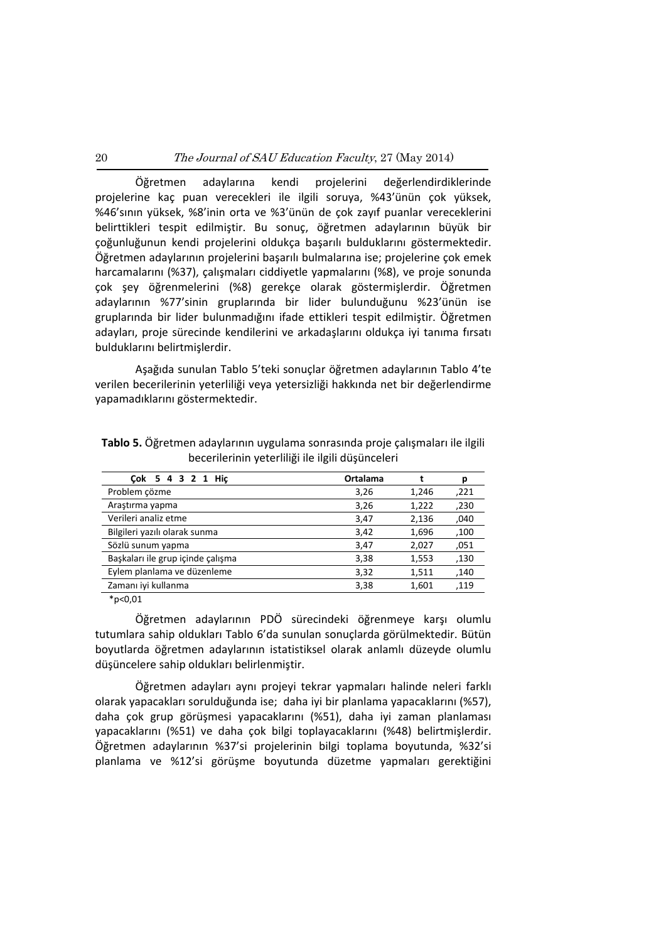Öğretmen adaylarına kendi projelerini değerlendirdiklerinde projelerine kaç puan verecekleri ile ilgili soruya, %43'ünün çok yüksek, %46'sının yüksek, %8'inin orta ve %3'ünün de çok zayıf puanlar vereceklerini belirttikleri tespit edilmiştir. Bu sonuç, öğretmen adaylarının büyük bir çoğunluğunun kendi projelerini oldukça başarılı bulduklarını göstermektedir. Öğretmen adaylarının projelerini başarılı bulmalarına ise; projelerine çok emek harcamalarını (%37), çalışmaları ciddiyetle yapmalarını (%8), ve proje sonunda çok şey öğrenmelerini (%8) gerekçe olarak göstermişlerdir. Öğretmen adaylarının %77'sinin gruplarında bir lider bulunduğunu %23'ünün ise gruplarında bir lider bulunmadığını ifade ettikleri tespit edilmiştir. Öğretmen adayları, proje sürecinde kendilerini ve arkadaşlarını oldukça iyi tanıma fırsatı bulduklarını belirtmişlerdir.

Aşağıda sunulan Tablo 5'teki sonuçlar öğretmen adaylarının Tablo 4'te verilen becerilerinin yeterliliği veya yetersizliği hakkında net bir değerlendirme yapamadıklarını göstermektedir.

| Cok 5 4 3 2 1 Hic                 | Ortalama |       | р    |
|-----------------------------------|----------|-------|------|
| Problem cözme                     | 3,26     | 1,246 | ,221 |
| Araştırma yapma                   | 3,26     | 1,222 | ,230 |
| Verileri analiz etme              | 3,47     | 2,136 | ,040 |
| Bilgileri yazılı olarak sunma     | 3,42     | 1,696 | ,100 |
| Sözlü sunum yapma                 | 3,47     | 2,027 | ,051 |
| Başkaları ile grup içinde çalışma | 3,38     | 1,553 | ,130 |
| Eylem planlama ve düzenleme       | 3,32     | 1,511 | .140 |
| Zamanı iyi kullanma               | 3,38     | 1,601 | ,119 |

**Tablo 5.** Öğretmen adaylarının uygulama sonrasında proje çalışmaları ile ilgili becerilerinin yeterliliği ile ilgili düşünceleri

 $*p<0,01$ 

Öğretmen adaylarının PDÖ sürecindeki öğrenmeye karşı olumlu tutumlara sahip oldukları Tablo 6'da sunulan sonuçlarda görülmektedir. Bütün boyutlarda öğretmen adaylarının istatistiksel olarak anlamlı düzeyde olumlu düşüncelere sahip oldukları belirlenmiştir.

Öğretmen adayları aynı projeyi tekrar yapmaları halinde neleri farklı olarak yapacakları sorulduğunda ise; daha iyi bir planlama yapacaklarını (%57), daha çok grup görüşmesi yapacaklarını (%51), daha iyi zaman planlaması yapacaklarını (%51) ve daha çok bilgi toplayacaklarını (%48) belirtmişlerdir. Öğretmen adaylarının %37'si projelerinin bilgi toplama boyutunda, %32'si planlama ve %12'si görüşme boyutunda düzetme yapmaları gerektiğini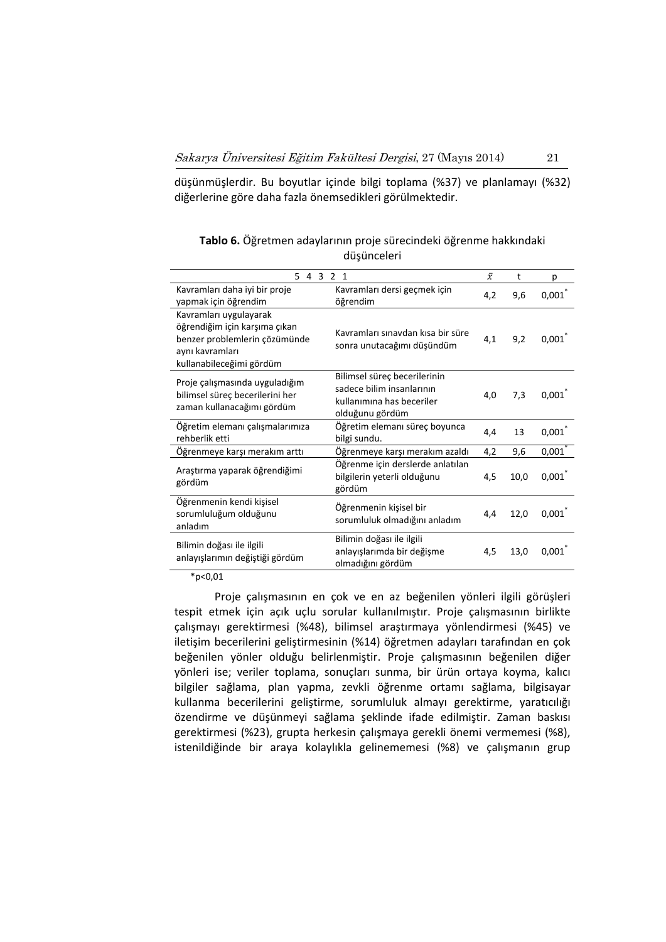düşünmüşlerdir. Bu boyutlar içinde bilgi toplama (%37) ve planlamayı (%32) diğerlerine göre daha fazla önemsedikleri görülmektedir.

| 5 4 3 2 1                                                                                                                               |                                                                                                           | $\bar{x}$ | t    | p     |
|-----------------------------------------------------------------------------------------------------------------------------------------|-----------------------------------------------------------------------------------------------------------|-----------|------|-------|
| Kavramları daha iyi bir proje<br>yapmak için öğrendim                                                                                   | Kavramları dersi geçmek için<br>öğrendim                                                                  | 4,2       | 9,6  | 0,001 |
| Kavramları uygulayarak<br>öğrendiğim için karşıma çıkan<br>benzer problemlerin çözümünde<br>aynı kavramları<br>kullanabileceğimi gördüm | Kavramları sınavdan kısa bir süre<br>sonra unutacağımı düşündüm                                           | 4,1       | 9,2  | 0,001 |
| Proje çalışmasında uyguladığım<br>bilimsel süreç becerilerini her<br>zaman kullanacağımı gördüm                                         | Bilimsel süreç becerilerinin<br>sadece bilim insanlarının<br>kullanımına has beceriler<br>olduğunu gördüm | 4,0       | 7,3  | 0,001 |
| Öğretim elemanı çalışmalarımıza<br>rehberlik etti                                                                                       | Öğretim elemanı süreç boyunca<br>bilgi sundu.                                                             | 4,4       | 13   | 0,001 |
| Öğrenmeye karşı merakım arttı                                                                                                           | Öğrenmeye karşı merakım azaldı                                                                            | 4,2       | 9,6  | 0,001 |
| Araştırma yaparak öğrendiğimi<br>gördüm                                                                                                 | Öğrenme için derslerde anlatılan<br>bilgilerin yeterli olduğunu<br>gördüm                                 | 4,5       | 10,0 | 0,001 |
| Öğrenmenin kendi kişisel<br>sorumluluğum olduğunu<br>anladım                                                                            | Öğrenmenin kişisel bir<br>sorumluluk olmadığını anladım                                                   | 4,4       | 12,0 | 0,001 |
| Bilimin doğası ile ilgili<br>anlayışlarımın değiştiği gördüm                                                                            | Bilimin doğası ile ilgili<br>anlayışlarımda bir değişme<br>olmadığını gördüm                              | 4,5       | 13,0 | 0,001 |

**Tablo 6.** Öğretmen adaylarının proje sürecindeki öğrenme hakkındaki düşünceleri

 $*p<0,01$ 

Proje çalışmasının en çok ve en az beğenilen yönleri ilgili görüşleri tespit etmek için açık uçlu sorular kullanılmıştır. Proje çalışmasının birlikte çalışmayı gerektirmesi (%48), bilimsel araştırmaya yönlendirmesi (%45) ve iletişim becerilerini geliştirmesinin (%14) öğretmen adayları tarafından en çok beğenilen yönler olduğu belirlenmiştir. Proje çalışmasının beğenilen diğer yönleri ise; veriler toplama, sonuçları sunma, bir ürün ortaya koyma, kalıcı bilgiler sağlama, plan yapma, zevkli öğrenme ortamı sağlama, bilgisayar kullanma becerilerini geliştirme, sorumluluk almayı gerektirme, yaratıcılığı özendirme ve düşünmeyi sağlama şeklinde ifade edilmiştir. Zaman baskısı gerektirmesi (%23), grupta herkesin çalışmaya gerekli önemi vermemesi (%8), istenildiğinde bir araya kolaylıkla gelinememesi (%8) ve çalışmanın grup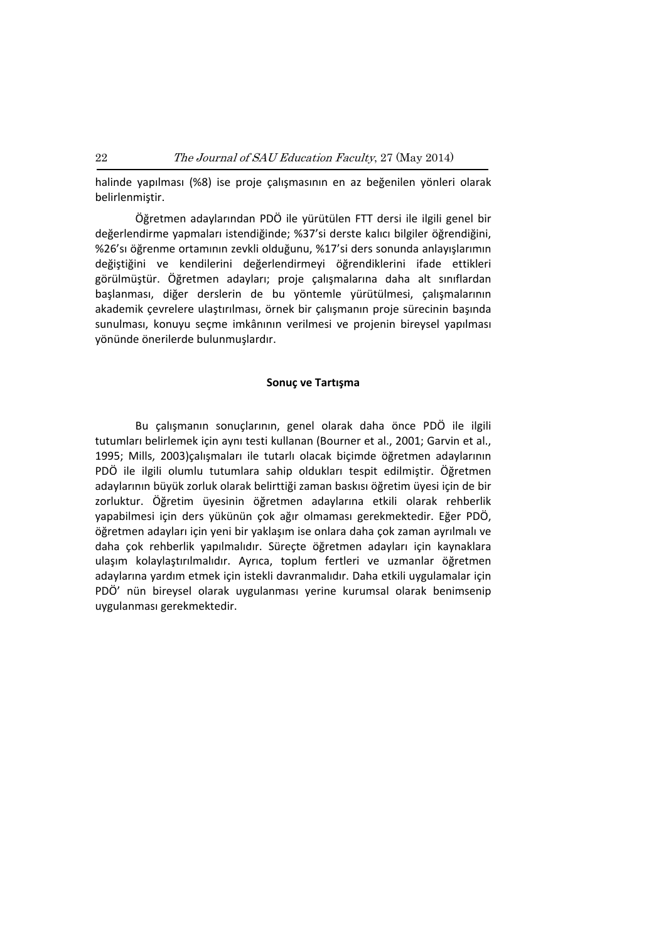halinde yapılması (%8) ise proje çalışmasının en az beğenilen yönleri olarak belirlenmiştir.

Öğretmen adaylarından PDÖ ile yürütülen FTT dersi ile ilgili genel bir değerlendirme yapmaları istendiğinde; %37'si derste kalıcı bilgiler öğrendiğini, %26'sı öğrenme ortamının zevkli olduğunu, %17'si ders sonunda anlayışlarımın değiştiğini ve kendilerini değerlendirmeyi öğrendiklerini ifade ettikleri görülmüştür. Öğretmen adayları; proje çalışmalarına daha alt sınıflardan başlanması, diğer derslerin de bu yöntemle yürütülmesi, çalışmalarının akademik çevrelere ulaştırılması, örnek bir çalışmanın proje sürecinin başında sunulması, konuyu seçme imkânının verilmesi ve projenin bireysel yapılması yönünde önerilerde bulunmuşlardır.

#### **Sonuç ve Tartışma**

Bu çalışmanın sonuçlarının, genel olarak daha önce PDÖ ile ilgili tutumları belirlemek için aynı testi kullanan (Bourner et al., 2001; Garvin et al., 1995; Mills, 2003)çalışmaları ile tutarlı olacak biçimde öğretmen adaylarının PDÖ ile ilgili olumlu tutumlara sahip oldukları tespit edilmiştir. Öğretmen adaylarının büyük zorluk olarak belirttiği zaman baskısı öğretim üyesi için de bir zorluktur. Öğretim üyesinin öğretmen adaylarına etkili olarak rehberlik yapabilmesi için ders yükünün çok ağır olmaması gerekmektedir. Eğer PDÖ, öğretmen adayları için yeni bir yaklaşım ise onlara daha çok zaman ayrılmalı ve daha çok rehberlik yapılmalıdır. Süreçte öğretmen adayları için kaynaklara ulaşım kolaylaştırılmalıdır. Ayrıca, toplum fertleri ve uzmanlar öğretmen adaylarına yardım etmek için istekli davranmalıdır. Daha etkili uygulamalar için PDÖ' nün bireysel olarak uygulanması yerine kurumsal olarak benimsenip uygulanması gerekmektedir.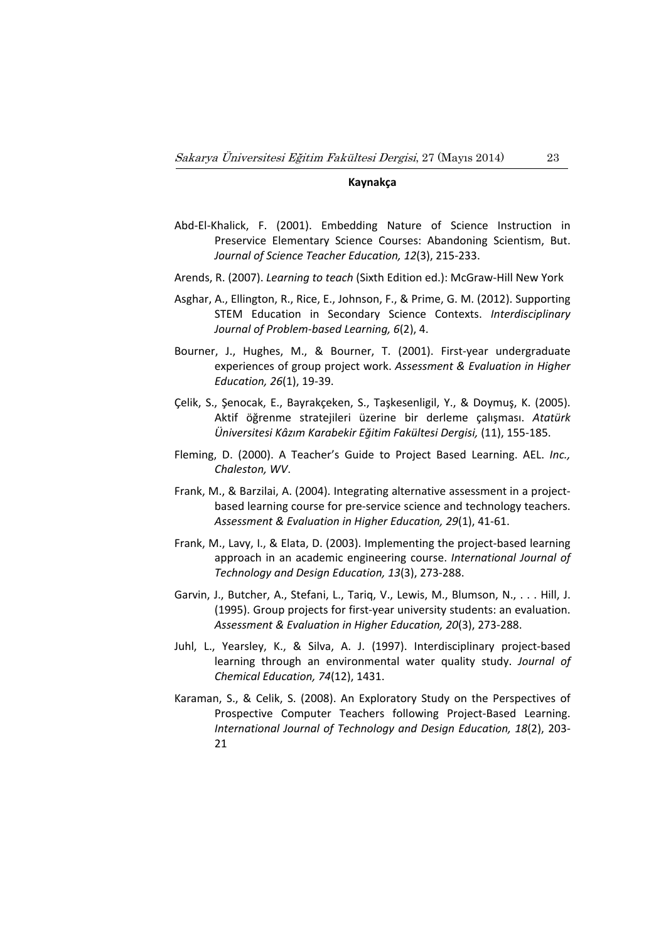# **Kaynakça**

- Abd‐El‐Khalick, F. (2001). Embedding Nature of Science Instruction in Preservice Elementary Science Courses: Abandoning Scientism, But. *Journal of Science Teacher Education, 12*(3), 215‐233.
- Arends, R. (2007). *Learning to teach* (Sixth Edition ed.): McGraw‐Hill New York
- Asghar, A., Ellington, R., Rice, E., Johnson, F., & Prime, G. M. (2012). Supporting STEM Education in Secondary Science Contexts. *Interdisciplinary Journal of Problem‐based Learning, 6*(2), 4.
- Bourner, J., Hughes, M., & Bourner, T. (2001). First‐year undergraduate experiences of group project work. *Assessment & Evaluation in Higher Education, 26*(1), 19‐39.
- Çelik, S., Şenocak, E., Bayrakçeken, S., Taşkesenligil, Y., & Doymuş, K. (2005). Aktif öğrenme stratejileri üzerine bir derleme çalışması. *Atatürk Üniversitesi Kâzım Karabekir Eğitim Fakültesi Dergisi,* (11), 155‐185.
- Fleming, D. (2000). A Teacher's Guide to Project Based Learning. AEL. *Inc., Chaleston, WV*.
- Frank, M., & Barzilai, A. (2004). Integrating alternative assessment in a project‐ based learning course for pre‐service science and technology teachers. *Assessment & Evaluation in Higher Education, 29*(1), 41‐61.
- Frank, M., Lavy, I., & Elata, D. (2003). Implementing the project-based learning approach in an academic engineering course. *International Journal of Technology and Design Education, 13*(3), 273‐288.
- Garvin, J., Butcher, A., Stefani, L., Tariq, V., Lewis, M., Blumson, N., . . . Hill, J. (1995). Group projects for first‐year university students: an evaluation. *Assessment & Evaluation in Higher Education, 20*(3), 273‐288.
- Juhl, L., Yearsley, K., & Silva, A. J. (1997). Interdisciplinary project‐based learning through an environmental water quality study. *Journal of Chemical Education, 74*(12), 1431.
- Karaman, S., & Celik, S. (2008). An Exploratory Study on the Perspectives of Prospective Computer Teachers following Project‐Based Learning. *International Journal of Technology and Design Education, 18*(2), 203‐ 21